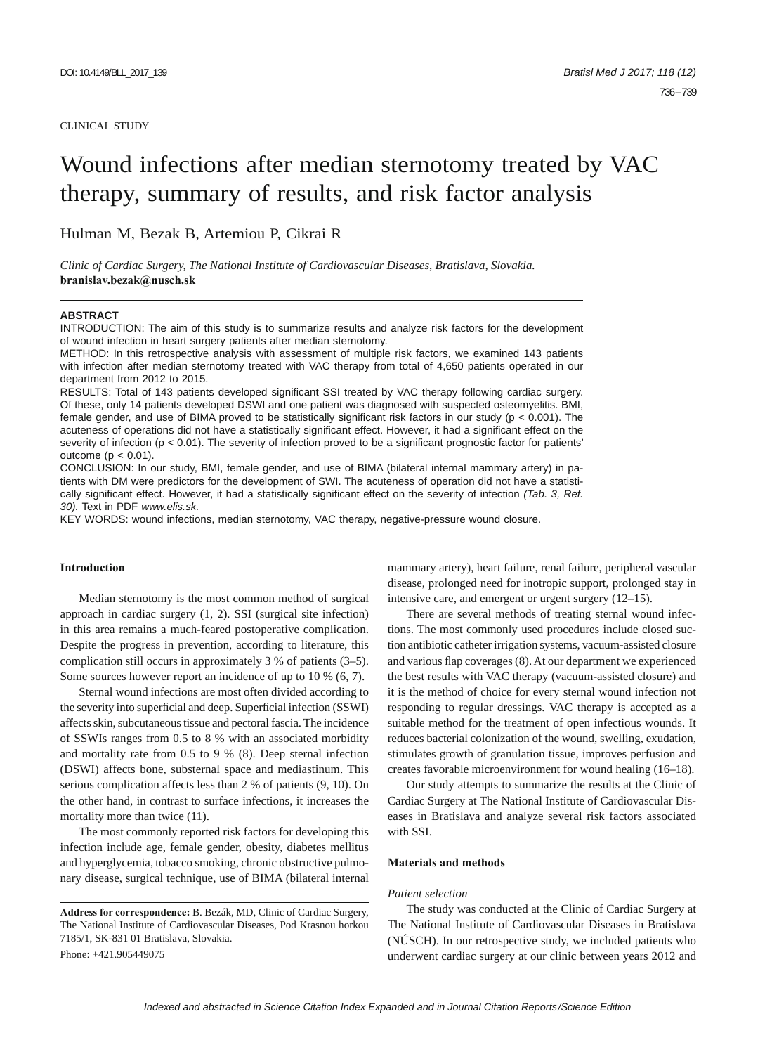# Wound infections after median sternotomy treated by VAC therapy, summary of results, and risk factor analysis

Hulman M, Bezak B, Artemiou P, Cikrai R

*Clinic of Cardiac Surgery, The National Institute of Cardiovascular Diseases, Bratislava, Slovakia.*  **branislav.bezak@nusch.sk**

### **ABSTRACT**

INTRODUCTION: The aim of this study is to summarize results and analyze risk factors for the development of wound infection in heart surgery patients after median sternotomy.

METHOD: In this retrospective analysis with assessment of multiple risk factors, we examined 143 patients with infection after median sternotomy treated with VAC therapy from total of 4,650 patients operated in our department from 2012 to 2015.

RESULTS: Total of 143 patients developed significant SSI treated by VAC therapy following cardiac surgery. Of these, only 14 patients developed DSWI and one patient was diagnosed with suspected osteomyelitis. BMI, female gender, and use of BIMA proved to be statistically significant risk factors in our study ( $p < 0.001$ ). The acuteness of operations did not have a statistically significant effect. However, it had a significant effect on the severity of infection ( $p < 0.01$ ). The severity of infection proved to be a significant prognostic factor for patients' outcome ( $p < 0.01$ ).

CONCLUSION: In our study, BMI, female gender, and use of BIMA (bilateral internal mammary artery) in patients with DM were predictors for the development of SWI. The acuteness of operation did not have a statistically significant effect. However, it had a statistically significant effect on the severity of infection (Tab. 3, Ref. *30).* Text in PDF *www.elis.sk.*

KEY WORDS: wound infections, median sternotomy, VAC therapy, negative-pressure wound closure.

# **Introduction**

Median sternotomy is the most common method of surgical approach in cardiac surgery (1, 2). SSI (surgical site infection) in this area remains a much-feared postoperative complication. Despite the progress in prevention, according to literature, this complication still occurs in approximately 3 % of patients (3–5). Some sources however report an incidence of up to 10 % (6, 7).

Sternal wound infections are most often divided according to the severity into superficial and deep. Superficial infection (SSWI) affects skin, subcutaneous tissue and pectoral fascia. The incidence of SSWIs ranges from 0.5 to 8 % with an associated morbidity and mortality rate from 0.5 to 9 % (8). Deep sternal infection (DSWI) affects bone, substernal space and mediastinum. This serious complication affects less than 2 % of patients (9, 10). On the other hand, in contrast to surface infections, it increases the mortality more than twice (11).

The most commonly reported risk factors for developing this infection include age, female gender, obesity, diabetes mellitus and hyperglycemia, tobacco smoking, chronic obstructive pulmonary disease, surgical technique, use of BIMA (bilateral internal

Phone: +421.905449075

mammary artery), heart failure, renal failure, peripheral vascular disease, prolonged need for inotropic support, prolonged stay in intensive care, and emergent or urgent surgery (12–15).

There are several methods of treating sternal wound infections. The most commonly used procedures include closed suction antibiotic catheter irrigation systems, vacuum-assisted closure and various flap coverages (8). At our department we experienced the best results with VAC therapy (vacuum-assisted closure) and it is the method of choice for every sternal wound infection not responding to regular dressings. VAC therapy is accepted as a suitable method for the treatment of open infectious wounds. It reduces bacterial colonization of the wound, swelling, exudation, stimulates growth of granulation tissue, improves perfusion and creates favorable microenvironment for wound healing (16–18).

Our study attempts to summarize the results at the Clinic of Cardiac Surgery at The National Institute of Cardiovascular Diseases in Bratislava and analyze several risk factors associated with SSI.

## **Materials and methods**

## *Patient selection*

The study was conducted at the Clinic of Cardiac Surgery at The National Institute of Cardiovascular Diseases in Bratislava (NÚSCH). In our retrospective study, we included patients who underwent cardiac surgery at our clinic between years 2012 and

**Address for correspondence:** B. Bezák, MD, Clinic of Cardiac Surgery, The National Institute of Cardiovascular Diseases, Pod Krasnou horkou 7185/1, SK-831 01 Bratislava, Slovakia.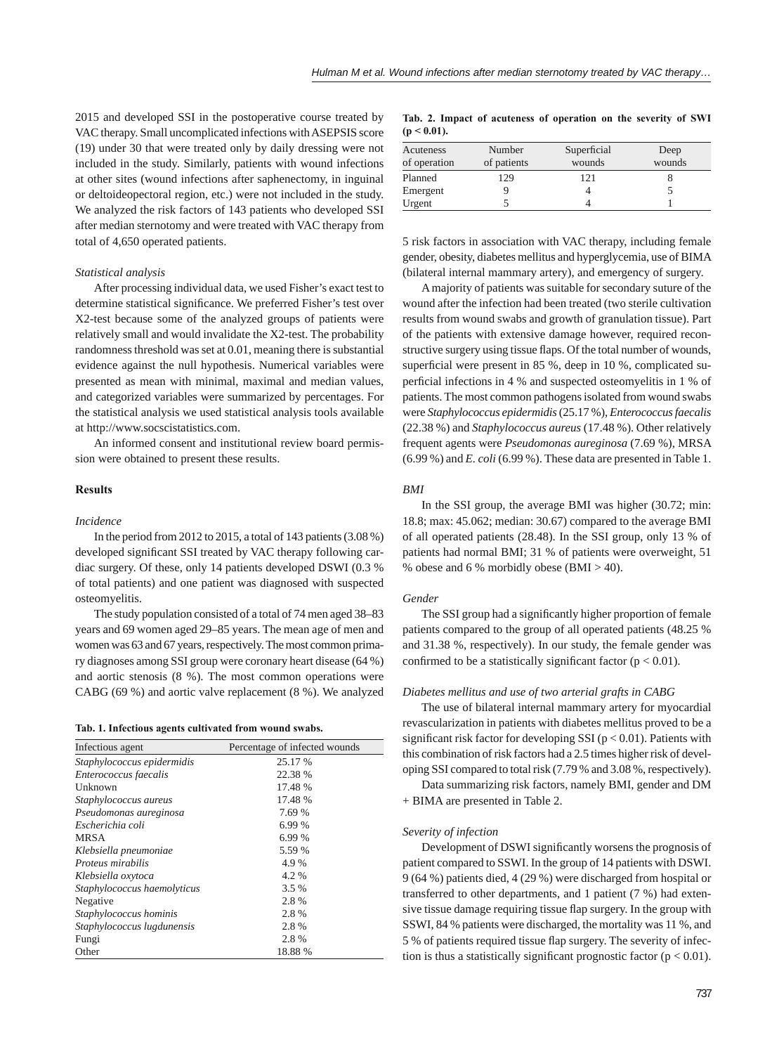2015 and developed SSI in the postoperative course treated by VAC therapy. Small uncomplicated infections with ASEPSIS score (19) under 30 that were treated only by daily dressing were not included in the study. Similarly, patients with wound infections at other sites (wound infections after saphenectomy, in inguinal or deltoideopectoral region, etc.) were not included in the study. We analyzed the risk factors of 143 patients who developed SSI after median sternotomy and were treated with VAC therapy from total of 4,650 operated patients.

#### *Statistical analysis*

After processing individual data, we used Fisher's exact test to determine statistical significance. We preferred Fisher's test over X2-test because some of the analyzed groups of patients were relatively small and would invalidate the X2-test. The probability randomness threshold was set at 0.01, meaning there is substantial evidence against the null hypothesis. Numerical variables were presented as mean with minimal, maximal and median values, and categorized variables were summarized by percentages. For the statistical analysis we used statistical analysis tools available at http://www.socscistatistics.com.

An informed consent and institutional review board permission were obtained to present these results.

# **Results**

## *Incidence*

In the period from 2012 to 2015, a total of 143 patients (3.08 %) developed significant SSI treated by VAC therapy following cardiac surgery. Of these, only 14 patients developed DSWI (0.3 % of total patients) and one patient was diagnosed with suspected osteomyelitis.

The study population consisted of a total of 74 men aged 38–83 years and 69 women aged 29–85 years. The mean age of men and women was 63 and 67 years, respectively. The most common primary diagnoses among SSI group were coronary heart disease (64 %) and aortic stenosis (8 %). The most common operations were CABG (69 %) and aortic valve replacement (8 %). We analyzed

|  |  |  |  |  |  | Tab. 1. Infectious agents cultivated from wound swabs. |  |  |  |
|--|--|--|--|--|--|--------------------------------------------------------|--|--|--|
|--|--|--|--|--|--|--------------------------------------------------------|--|--|--|

| Infectious agent            | Percentage of infected wounds |
|-----------------------------|-------------------------------|
| Staphylococcus epidermidis  | 25.17 %                       |
| Enterococcus faecalis       | 22.38 %                       |
| Unknown                     | 17.48 %                       |
| Staphylococcus aureus       | 17.48 %                       |
| Pseudomonas aureginosa      | 7.69 %                        |
| Escherichia coli            | 6.99 %                        |
| <b>MRSA</b>                 | 6.99 %                        |
| Klebsiella pneumoniae       | 5.59 %                        |
| Proteus mirabilis           | 4.9%                          |
| Klebsiella oxytoca          | 4.2%                          |
| Staphylococcus haemolyticus | 3.5 %                         |
| Negative                    | 2.8%                          |
| Staphylococcus hominis      | 2.8%                          |
| Staphylococcus lugdunensis  | 2.8%                          |
| Fungi                       | 2.8%                          |
| Other                       | 18.88 %                       |

| Tab. 2. Impact of acuteness of operation on the severity of SWI |  |  |  |  |
|-----------------------------------------------------------------|--|--|--|--|
| $(p < 0.01)$ .                                                  |  |  |  |  |

| Acuteness<br>of operation | Number<br>of patients | Superficial<br>wounds | Deep<br>wounds |
|---------------------------|-----------------------|-----------------------|----------------|
| Planned                   | 129                   | 121                   |                |
| Emergent                  |                       |                       |                |
| Urgent                    |                       |                       |                |

5 risk factors in association with VAC therapy, including female gender, obesity, diabetes mellitus and hyperglycemia, use of BIMA (bilateral internal mammary artery), and emergency of surgery.

A majority of patients was suitable for secondary suture of the wound after the infection had been treated (two sterile cultivation results from wound swabs and growth of granulation tissue). Part of the patients with extensive damage however, required reconstructive surgery using tissue flaps. Of the total number of wounds, superficial were present in 85 %, deep in 10 %, complicated superficial infections in 4 % and suspected osteomyelitis in 1 % of patients. The most common pathogens isolated from wound swabs were *Staphylococcus epidermidis* (25.17 %), *Enterococcus faecalis* (22.38 %) and *Staphylococcus aureus* (17.48 %). Other relatively frequent agents were *Pseudomonas aureginosa* (7.69 %), MRSA (6.99 %) and *E. coli* (6.99 %). These data are presented in Table 1.

## *BMI*

In the SSI group, the average BMI was higher (30.72; min: 18.8; max: 45.062; median: 30.67) compared to the average BMI of all operated patients (28.48). In the SSI group, only 13 % of patients had normal BMI; 31 % of patients were overweight, 51 % obese and 6 % morbidly obese  $(BMI > 40)$ .

## *Gender*

The SSI group had a significantly higher proportion of female patients compared to the group of all operated patients (48.25 % and 31.38 %, respectively). In our study, the female gender was confirmed to be a statistically significant factor ( $p < 0.01$ ).

#### *Diabetes mellitus and use of two arterial grafts in CABG*

The use of bilateral internal mammary artery for myocardial revascularization in patients with diabetes mellitus proved to be a significant risk factor for developing SSI ( $p < 0.01$ ). Patients with this combination of risk factors had a 2.5 times higher risk of developing SSI compared to total risk (7.79 % and 3.08 %, respectively).

Data summarizing risk factors, namely BMI, gender and DM + BIMA are presented in Table 2.

#### *Severity of infection*

Development of DSWI significantly worsens the prognosis of patient compared to SSWI. In the group of 14 patients with DSWI. 9 (64 %) patients died, 4 (29 %) were discharged from hospital or transferred to other departments, and 1 patient (7 %) had extensive tissue damage requiring tissue flap surgery. In the group with SSWI, 84 % patients were discharged, the mortality was 11 %, and 5 % of patients required tissue flap surgery. The severity of infection is thus a statistically significant prognostic factor ( $p < 0.01$ ).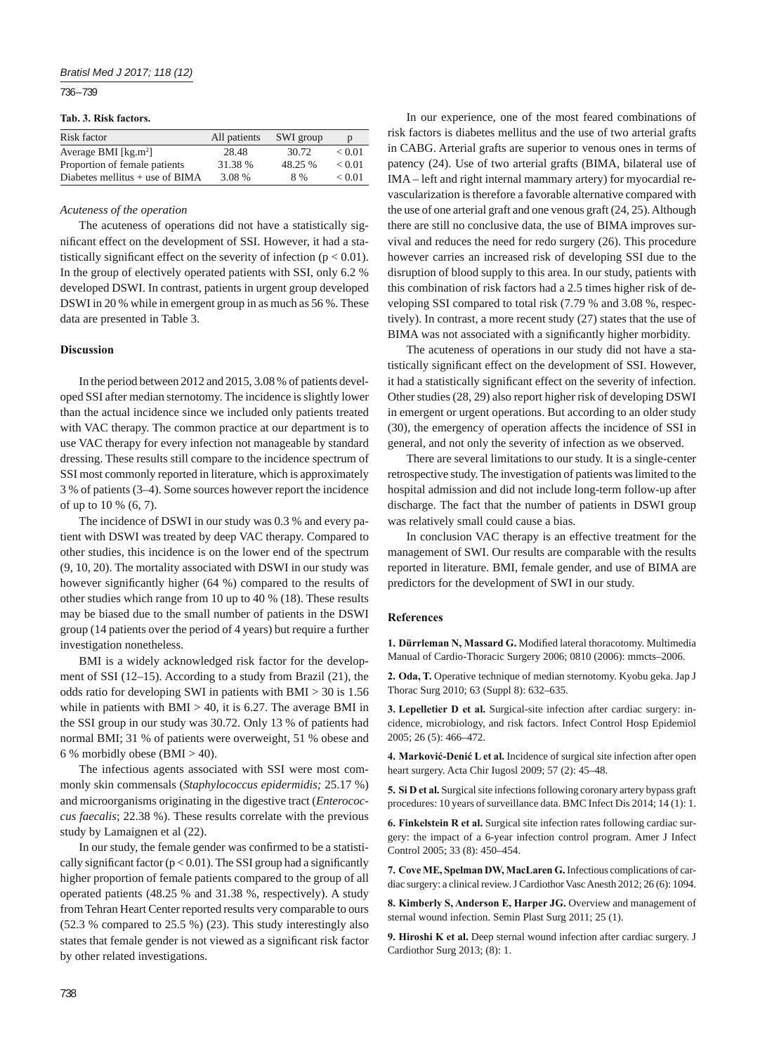736 – 739

#### **Tab. 3. Risk factors.**

| Risk factor                       | All patients | SWI group | p      |
|-----------------------------------|--------------|-----------|--------|
| Average BMI $[kg.m^2]$            | 28.48        | 30.72     | < 0.01 |
| Proportion of female patients     | 31.38 %      | 48.25 %   | < 0.01 |
| Diabetes mellitus $+$ use of BIMA | 3.08 %       | 8%        | < 0.01 |

## *Acuteness of the operation*

The acuteness of operations did not have a statistically significant effect on the development of SSI. However, it had a statistically significant effect on the severity of infection ( $p < 0.01$ ). In the group of electively operated patients with SSI, only 6.2 % developed DSWI. In contrast, patients in urgent group developed DSWI in 20 % while in emergent group in as much as 56 %. These data are presented in Table 3.

## **Discussion**

In the period between 2012 and 2015, 3.08 % of patients developed SSI after median sternotomy. The incidence is slightly lower than the actual incidence since we included only patients treated with VAC therapy. The common practice at our department is to use VAC therapy for every infection not manageable by standard dressing. These results still compare to the incidence spectrum of SSI most commonly reported in literature, which is approximately 3 % of patients (3–4). Some sources however report the incidence of up to 10 % (6, 7).

The incidence of DSWI in our study was 0.3 % and every patient with DSWI was treated by deep VAC therapy. Compared to other studies, this incidence is on the lower end of the spectrum (9, 10, 20). The mortality associated with DSWI in our study was however significantly higher (64 %) compared to the results of other studies which range from 10 up to 40 % (18). These results may be biased due to the small number of patients in the DSWI group (14 patients over the period of 4 years) but require a further investigation nonetheless.

BMI is a widely acknowledged risk factor for the development of SSI (12–15). According to a study from Brazil (21), the odds ratio for developing SWI in patients with BMI > 30 is 1.56 while in patients with  $BMI > 40$ , it is 6.27. The average BMI in the SSI group in our study was 30.72. Only 13 % of patients had normal BMI; 31 % of patients were overweight, 51 % obese and 6 % morbidly obese (BMI  $>$  40).

The infectious agents associated with SSI were most commonly skin commensals (*Staphylococcus epidermidis;* 25.17 %) and microorganisms originating in the digestive tract (*Enterococcus faecalis*; 22.38 %). These results correlate with the previous study by Lamaignen et al (22).

In our study, the female gender was confirmed to be a statistically significant factor ( $p < 0.01$ ). The SSI group had a significantly higher proportion of female patients compared to the group of all operated patients (48.25 % and 31.38 %, respectively). A study from Tehran Heart Center reported results very comparable to ours (52.3 % compared to 25.5 %) (23). This study interestingly also states that female gender is not viewed as a significant risk factor by other related investigations.

In our experience, one of the most feared combinations of risk factors is diabetes mellitus and the use of two arterial grafts in CABG. Arterial grafts are superior to venous ones in terms of patency (24). Use of two arterial grafts (BIMA, bilateral use of IMA – left and right internal mammary artery) for myocardial revascularization is therefore a favorable alternative compared with the use of one arterial graft and one venous graft (24, 25). Although there are still no conclusive data, the use of BIMA improves survival and reduces the need for redo surgery (26). This procedure however carries an increased risk of developing SSI due to the disruption of blood supply to this area. In our study, patients with this combination of risk factors had a 2.5 times higher risk of developing SSI compared to total risk (7.79 % and 3.08 %, respectively). In contrast, a more recent study (27) states that the use of BIMA was not associated with a significantly higher morbidity.

The acuteness of operations in our study did not have a statistically significant effect on the development of SSI. However, it had a statistically significant effect on the severity of infection. Other studies (28, 29) also report higher risk of developing DSWI in emergent or urgent operations. But according to an older study (30), the emergency of operation affects the incidence of SSI in general, and not only the severity of infection as we observed.

There are several limitations to our study. It is a single-center retrospective study. The investigation of patients was limited to the hospital admission and did not include long-term follow-up after discharge. The fact that the number of patients in DSWI group was relatively small could cause a bias.

In conclusion VAC therapy is an effective treatment for the management of SWI. Our results are comparable with the results reported in literature. BMI, female gender, and use of BIMA are predictors for the development of SWI in our study.

### **References**

1. Dürrleman N, Massard G. Modified lateral thoracotomy. Multimedia Manual of Cardio-Thoracic Surgery 2006; 0810 (2006): mmcts–2006.

**2. Oda, T.** Operative technique of median sternotomy. Kyobu geka. Jap J Thorac Surg 2010; 63 (Suppl 8): 632–635.

**3. Lepelletier D et al.** Surgical-site infection after cardiac surgery: incidence, microbiology, and risk factors. Infect Control Hosp Epidemiol 2005; 26 (5): 466–472.

**4. Marković-Denić L et al.** Incidence of surgical site infection after open heart surgery. Acta Chir Iugosl 2009; 57 (2): 45–48.

**5. Si D et al.** Surgical site infections following coronary artery bypass graft procedures: 10 years of surveillance data. BMC Infect Dis 2014; 14 (1): 1.

**6. Finkelstein R et al.** Surgical site infection rates following cardiac surgery: the impact of a 6-year infection control program. Amer J Infect Control 2005; 33 (8): 450–454.

**7. Cove ME, Spelman DW, MacLaren G.** Infectious complications of cardiac surgery: a clinical review. J Cardiothor Vasc Anesth 2012; 26 (6): 1094.

**8. Kimberly S, Anderson E, Harper JG.** Overview and management of sternal wound infection. Semin Plast Surg 2011; 25 (1).

**9. Hiroshi K et al.** Deep sternal wound infection after cardiac surgery. J Cardiothor Surg 2013; (8): 1.